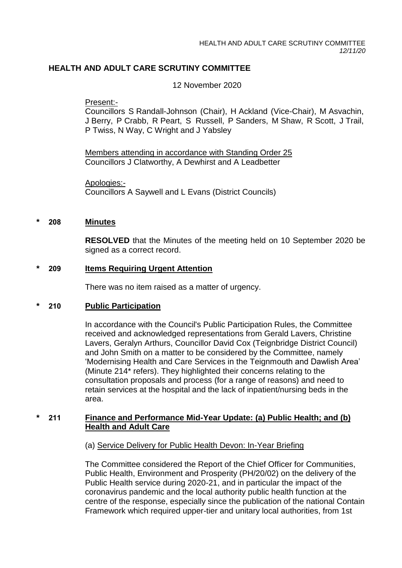# **HEALTH AND ADULT CARE SCRUTINY COMMITTEE**

12 November 2020

Present:-

Councillors S Randall-Johnson (Chair), H Ackland (Vice-Chair), M Asvachin, J Berry, P Crabb, R Peart, S Russell, P Sanders, M Shaw, R Scott, J Trail, P Twiss, N Way, C Wright and J Yabsley

Members attending in accordance with Standing Order 25 Councillors J Clatworthy, A Dewhirst and A Leadbetter

Apologies:- Councillors A Saywell and L Evans (District Councils)

#### **\* 208 Minutes**

**RESOLVED** that the Minutes of the meeting held on 10 September 2020 be signed as a correct record.

#### **\* 209 Items Requiring Urgent Attention**

There was no item raised as a matter of urgency.

#### **\* 210 Public Participation**

In accordance with the Council's Public Participation Rules, the Committee received and acknowledged representations from Gerald Lavers, Christine Lavers, Geralyn Arthurs, Councillor David Cox (Teignbridge District Council) and John Smith on a matter to be considered by the Committee, namely 'Modernising Health and Care Services in the Teignmouth and Dawlish Area' (Minute 214\* refers). They highlighted their concerns relating to the consultation proposals and process (for a range of reasons) and need to retain services at the hospital and the lack of inpatient/nursing beds in the area.

#### **\* 211 Finance and Performance Mid-Year Update: (a) Public Health; and (b) Health and Adult Care**

#### (a) Service Delivery for Public Health Devon: In-Year Briefing

The Committee considered the Report of the Chief Officer for Communities, Public Health, Environment and Prosperity (PH/20/02) on the delivery of the Public Health service during 2020-21, and in particular the impact of the coronavirus pandemic and the local authority public health function at the centre of the response, especially since the publication of the national Contain Framework which required upper-tier and unitary local authorities, from 1st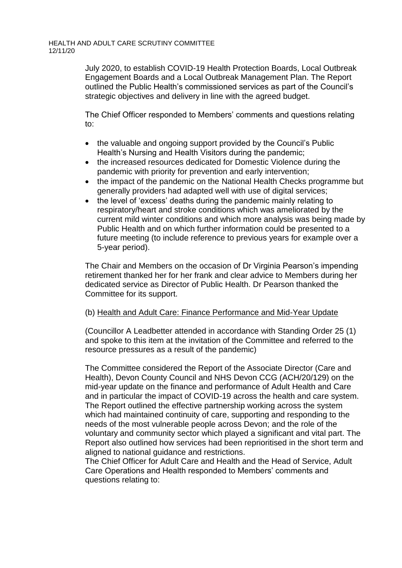July 2020, to establish COVID-19 Health Protection Boards, Local Outbreak Engagement Boards and a Local Outbreak Management Plan. The Report outlined the Public Health's commissioned services as part of the Council's strategic objectives and delivery in line with the agreed budget.

The Chief Officer responded to Members' comments and questions relating to:

- the valuable and ongoing support provided by the Council's Public Health's Nursing and Health Visitors during the pandemic;
- the increased resources dedicated for Domestic Violence during the pandemic with priority for prevention and early intervention;
- the impact of the pandemic on the National Health Checks programme but generally providers had adapted well with use of digital services;
- the level of 'excess' deaths during the pandemic mainly relating to respiratory/heart and stroke conditions which was ameliorated by the current mild winter conditions and which more analysis was being made by Public Health and on which further information could be presented to a future meeting (to include reference to previous years for example over a 5-year period).

The Chair and Members on the occasion of Dr Virginia Pearson's impending retirement thanked her for her frank and clear advice to Members during her dedicated service as Director of Public Health. Dr Pearson thanked the Committee for its support.

# (b) Health and Adult Care: Finance Performance and Mid-Year Update

(Councillor A Leadbetter attended in accordance with Standing Order 25 (1) and spoke to this item at the invitation of the Committee and referred to the resource pressures as a result of the pandemic)

The Committee considered the Report of the Associate Director (Care and Health), Devon County Council and NHS Devon CCG (ACH/20/129) on the mid-year update on the finance and performance of Adult Health and Care and in particular the impact of COVID-19 across the health and care system. The Report outlined the effective partnership working across the system which had maintained continuity of care, supporting and responding to the needs of the most vulnerable people across Devon; and the role of the voluntary and community sector which played a significant and vital part. The Report also outlined how services had been reprioritised in the short term and aligned to national guidance and restrictions.

The Chief Officer for Adult Care and Health and the Head of Service, Adult Care Operations and Health responded to Members' comments and questions relating to: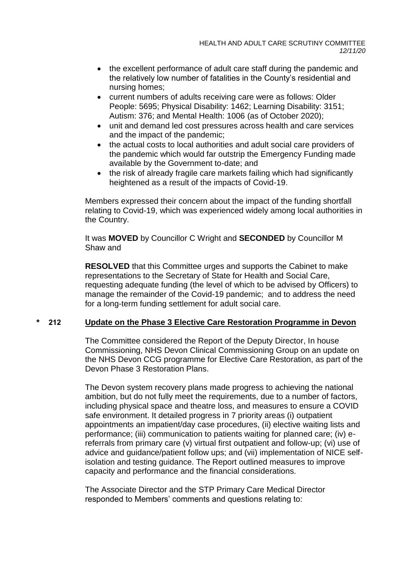- the excellent performance of adult care staff during the pandemic and the relatively low number of fatalities in the County's residential and nursing homes;
- current numbers of adults receiving care were as follows: Older People: 5695; Physical Disability: 1462; Learning Disability: 3151; Autism: 376; and Mental Health: 1006 (as of October 2020);
- unit and demand led cost pressures across health and care services and the impact of the pandemic;
- the actual costs to local authorities and adult social care providers of the pandemic which would far outstrip the Emergency Funding made available by the Government to-date; and
- the risk of already fragile care markets failing which had significantly heightened as a result of the impacts of Covid-19.

Members expressed their concern about the impact of the funding shortfall relating to Covid-19, which was experienced widely among local authorities in the Country.

It was **MOVED** by Councillor C Wright and **SECONDED** by Councillor M Shaw and

**RESOLVED** that this Committee urges and supports the Cabinet to make representations to the Secretary of State for Health and Social Care, requesting adequate funding (the level of which to be advised by Officers) to manage the remainder of the Covid-19 pandemic; and to address the need for a long-term funding settlement for adult social care.

## **\* 212 Update on the Phase 3 Elective Care Restoration Programme in Devon**

The Committee considered the Report of the Deputy Director, In house Commissioning, NHS Devon Clinical Commissioning Group on an update on the NHS Devon CCG programme for Elective Care Restoration, as part of the Devon Phase 3 Restoration Plans.

The Devon system recovery plans made progress to achieving the national ambition, but do not fully meet the requirements, due to a number of factors, including physical space and theatre loss, and measures to ensure a COVID safe environment. It detailed progress in 7 priority areas (i) outpatient appointments an impatient/day case procedures, (ii) elective waiting lists and performance; (iii) communication to patients waiting for planned care; (iv) ereferrals from primary care (v) virtual first outpatient and follow-up; (vi) use of advice and guidance/patient follow ups; and (vii) implementation of NICE selfisolation and testing guidance. The Report outlined measures to improve capacity and performance and the financial considerations.

The Associate Director and the STP Primary Care Medical Director responded to Members' comments and questions relating to: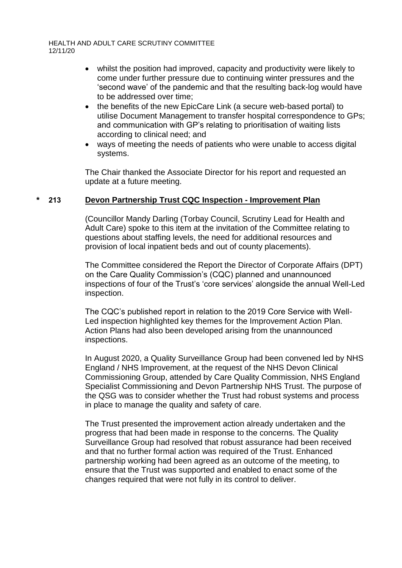HEALTH AND ADULT CARE SCRUTINY COMMITTEE 12/11/20

- whilst the position had improved, capacity and productivity were likely to come under further pressure due to continuing winter pressures and the 'second wave' of the pandemic and that the resulting back-log would have to be addressed over time;
- the benefits of the new EpicCare Link (a secure web-based portal) to utilise Document Management to transfer hospital correspondence to GPs; and communication with GP's relating to prioritisation of waiting lists according to clinical need; and
- ways of meeting the needs of patients who were unable to access digital systems.

The Chair thanked the Associate Director for his report and requested an update at a future meeting.

#### **\* 213 Devon Partnership Trust CQC Inspection - Improvement Plan**

(Councillor Mandy Darling (Torbay Council, Scrutiny Lead for Health and Adult Care) spoke to this item at the invitation of the Committee relating to questions about staffing levels, the need for additional resources and provision of local inpatient beds and out of county placements).

The Committee considered the Report the Director of Corporate Affairs (DPT) on the Care Quality Commission's (CQC) planned and unannounced inspections of four of the Trust's 'core services' alongside the annual Well-Led inspection.

The CQC's published report in relation to the 2019 Core Service with Well-Led inspection highlighted key themes for the Improvement Action Plan. Action Plans had also been developed arising from the unannounced inspections.

In August 2020, a Quality Surveillance Group had been convened led by NHS England / NHS Improvement, at the request of the NHS Devon Clinical Commissioning Group, attended by Care Quality Commission, NHS England Specialist Commissioning and Devon Partnership NHS Trust. The purpose of the QSG was to consider whether the Trust had robust systems and process in place to manage the quality and safety of care.

The Trust presented the improvement action already undertaken and the progress that had been made in response to the concerns. The Quality Surveillance Group had resolved that robust assurance had been received and that no further formal action was required of the Trust. Enhanced partnership working had been agreed as an outcome of the meeting, to ensure that the Trust was supported and enabled to enact some of the changes required that were not fully in its control to deliver.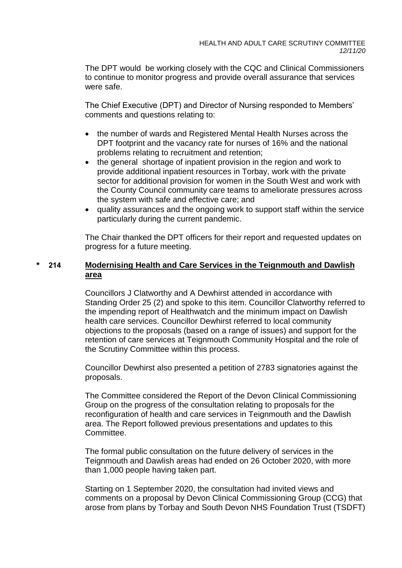The DPT would be working closely with the CQC and Clinical Commissioners to continue to monitor progress and provide overall assurance that services were safe.

The Chief Executive (DPT) and Director of Nursing responded to Members' comments and questions relating to:

- the number of wards and Registered Mental Health Nurses across the DPT footprint and the vacancy rate for nurses of 16% and the national problems relating to recruitment and retention;
- the general shortage of inpatient provision in the region and work to provide additional inpatient resources in Torbay, work with the private sector for additional provision for women in the South West and work with the County Council community care teams to ameliorate pressures across the system with safe and effective care; and
- quality assurances and the ongoing work to support staff within the service particularly during the current pandemic.

The Chair thanked the DPT officers for their report and requested updates on progress for a future meeting.

## **\* 214 Modernising Health and Care Services in the Teignmouth and Dawlish area**

Councillors J Clatworthy and A Dewhirst attended in accordance with Standing Order 25 (2) and spoke to this item. Councillor Clatworthy referred to the impending report of Healthwatch and the minimum impact on Dawlish health care services. Councillor Dewhirst referred to local community objections to the proposals (based on a range of issues) and support for the retention of care services at Teignmouth Community Hospital and the role of the Scrutiny Committee within this process.

Councillor Dewhirst also presented a petition of 2783 signatories against the proposals.

The Committee considered the Report of the Devon Clinical Commissioning Group on the progress of the consultation relating to proposals for the reconfiguration of health and care services in Teignmouth and the Dawlish area. The Report followed previous presentations and updates to this **Committee.** 

The formal public consultation on the future delivery of services in the Teignmouth and Dawlish areas had ended on 26 October 2020, with more than 1,000 people having taken part.

Starting on 1 September 2020, the consultation had invited views and comments on a proposal by Devon Clinical Commissioning Group (CCG) that arose from plans by Torbay and South Devon NHS Foundation Trust (TSDFT)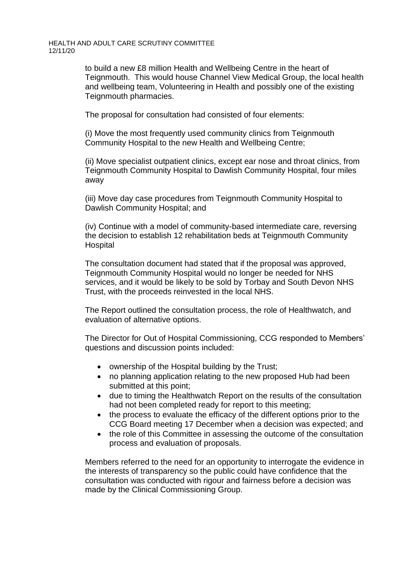HEALTH AND ADULT CARE SCRUTINY COMMITTEE 12/11/20

> to build a new £8 million Health and Wellbeing Centre in the heart of Teignmouth. This would house Channel View Medical Group, the local health and wellbeing team, Volunteering in Health and possibly one of the existing Teignmouth pharmacies.

The proposal for consultation had consisted of four elements:

(i) Move the most frequently used community clinics from Teignmouth Community Hospital to the new Health and Wellbeing Centre;

(ii) Move specialist outpatient clinics, except ear nose and throat clinics, from Teignmouth Community Hospital to Dawlish Community Hospital, four miles away

(iii) Move day case procedures from Teignmouth Community Hospital to Dawlish Community Hospital; and

(iv) Continue with a model of community-based intermediate care, reversing the decision to establish 12 rehabilitation beds at Teignmouth Community Hospital

The consultation document had stated that if the proposal was approved, Teignmouth Community Hospital would no longer be needed for NHS services, and it would be likely to be sold by Torbay and South Devon NHS Trust, with the proceeds reinvested in the local NHS.

The Report outlined the consultation process, the role of Healthwatch, and evaluation of alternative options.

The Director for Out of Hospital Commissioning, CCG responded to Members' questions and discussion points included:

- ownership of the Hospital building by the Trust:
- no planning application relating to the new proposed Hub had been submitted at this point;
- due to timing the Healthwatch Report on the results of the consultation had not been completed ready for report to this meeting;
- the process to evaluate the efficacy of the different options prior to the CCG Board meeting 17 December when a decision was expected; and
- the role of this Committee in assessing the outcome of the consultation process and evaluation of proposals.

Members referred to the need for an opportunity to interrogate the evidence in the interests of transparency so the public could have confidence that the consultation was conducted with rigour and fairness before a decision was made by the Clinical Commissioning Group.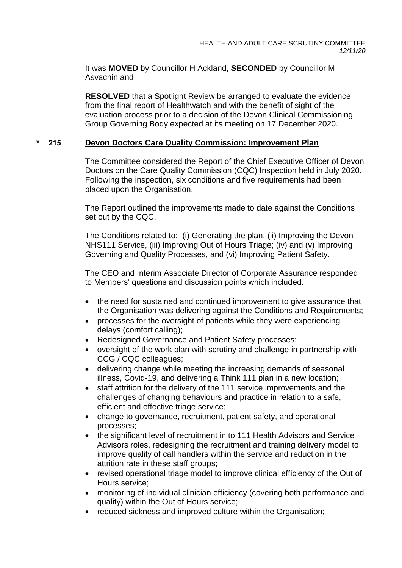It was **MOVED** by Councillor H Ackland, **SECONDED** by Councillor M Asvachin and

**RESOLVED** that a Spotlight Review be arranged to evaluate the evidence from the final report of Healthwatch and with the benefit of sight of the evaluation process prior to a decision of the Devon Clinical Commissioning Group Governing Body expected at its meeting on 17 December 2020.

# **\* 215 Devon Doctors Care Quality Commission: Improvement Plan**

The Committee considered the Report of the Chief Executive Officer of Devon Doctors on the Care Quality Commission (CQC) Inspection held in July 2020. Following the inspection, six conditions and five requirements had been placed upon the Organisation.

The Report outlined the improvements made to date against the Conditions set out by the CQC.

The Conditions related to: (i) Generating the plan, (ii) Improving the Devon NHS111 Service, (iii) Improving Out of Hours Triage; (iv) and (v) Improving Governing and Quality Processes, and (vi) Improving Patient Safety.

The CEO and Interim Associate Director of Corporate Assurance responded to Members' questions and discussion points which included.

- the need for sustained and continued improvement to give assurance that the Organisation was delivering against the Conditions and Requirements;
- processes for the oversight of patients while they were experiencing delays (comfort calling);
- Redesigned Governance and Patient Safety processes;
- oversight of the work plan with scrutiny and challenge in partnership with CCG / CQC colleagues;
- delivering change while meeting the increasing demands of seasonal illness, Covid-19, and delivering a Think 111 plan in a new location;
- staff attrition for the delivery of the 111 service improvements and the challenges of changing behaviours and practice in relation to a safe, efficient and effective triage service;
- change to governance, recruitment, patient safety, and operational processes;
- the significant level of recruitment in to 111 Health Advisors and Service Advisors roles, redesigning the recruitment and training delivery model to improve quality of call handlers within the service and reduction in the attrition rate in these staff groups;
- revised operational triage model to improve clinical efficiency of the Out of Hours service;
- monitoring of individual clinician efficiency (covering both performance and quality) within the Out of Hours service;
- reduced sickness and improved culture within the Organisation: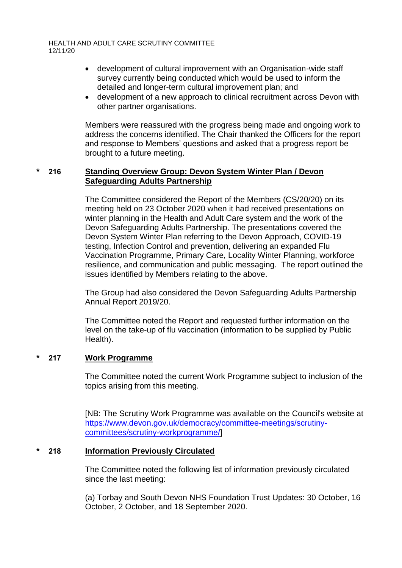HEALTH AND ADULT CARE SCRUTINY COMMITTEE 12/11/20

- development of cultural improvement with an Organisation-wide staff survey currently being conducted which would be used to inform the detailed and longer-term cultural improvement plan; and
- development of a new approach to clinical recruitment across Devon with other partner organisations.

Members were reassured with the progress being made and ongoing work to address the concerns identified. The Chair thanked the Officers for the report and response to Members' questions and asked that a progress report be brought to a future meeting.

## **\* 216 Standing Overview Group: Devon System Winter Plan / Devon Safeguarding Adults Partnership**

The Committee considered the Report of the Members (CS/20/20) on its meeting held on 23 October 2020 when it had received presentations on winter planning in the Health and Adult Care system and the work of the Devon Safeguarding Adults Partnership. The presentations covered the Devon System Winter Plan referring to the Devon Approach, COVID-19 testing, Infection Control and prevention, delivering an expanded Flu Vaccination Programme, Primary Care, Locality Winter Planning, workforce resilience, and communication and public messaging. The report outlined the issues identified by Members relating to the above.

The Group had also considered the Devon Safeguarding Adults Partnership Annual Report 2019/20.

The Committee noted the Report and requested further information on the level on the take-up of flu vaccination (information to be supplied by Public Health).

## **\* 217 Work Programme**

The Committee noted the current Work Programme subject to inclusion of the topics arising from this meeting.

[NB: The Scrutiny Work Programme was available on the Council's website at [https://www.devon.gov.uk/democracy/committee-meetings/scrutiny](https://www.devon.gov.uk/democracy/committee-meetings/scrutiny-committees/scrutiny-workprogramme/)[committees/scrutiny-workprogramme/\]](https://www.devon.gov.uk/democracy/committee-meetings/scrutiny-committees/scrutiny-workprogramme/)

## **\* 218 Information Previously Circulated**

The Committee noted the following list of information previously circulated since the last meeting:

(a) Torbay and South Devon NHS Foundation Trust Updates: 30 October, 16 October, 2 October, and 18 September 2020.